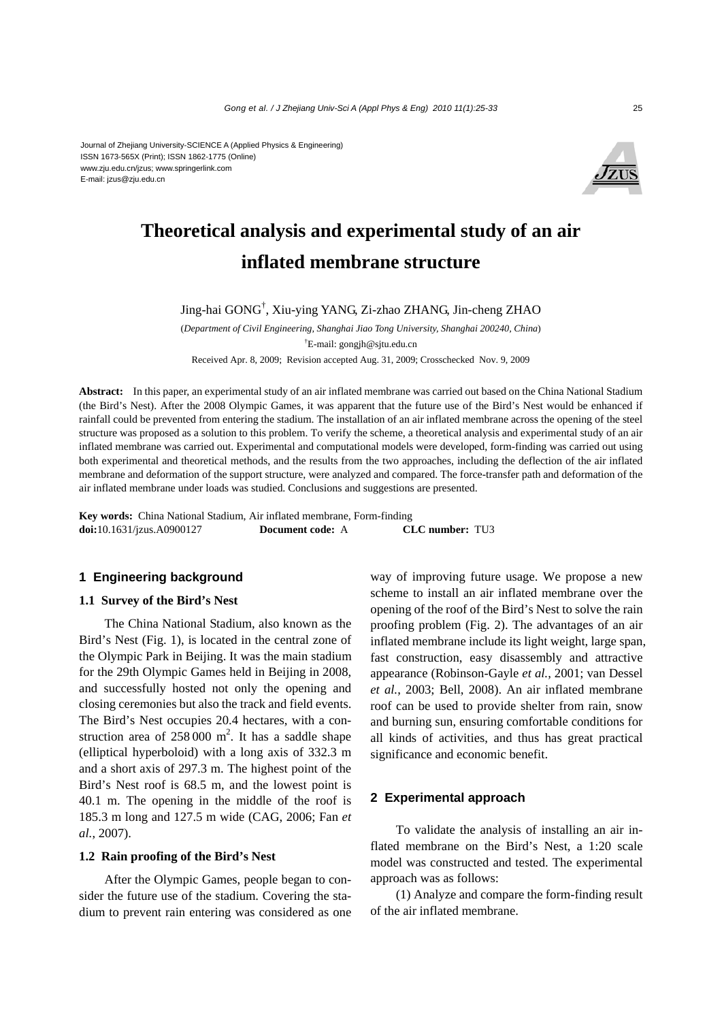#### Journal of Zhejiang University-SCIENCE A (Applied Physics & Engineering) ISSN 1673-565X (Print); ISSN 1862-1775 (Online) www.zju.edu.cn/jzus; www.springerlink.com E-mail: jzus@zju.edu.cn



# **Theoretical analysis and experimental study of an air inflated membrane structure**

Jing-hai GONG† , Xiu-ying YANG, Zi-zhao ZHANG, Jin-cheng ZHAO

(*Department of Civil Engineering, Shanghai Jiao Tong University, Shanghai 200240, China*) † E-mail: gongjh@sjtu.edu.cn

Received Apr. 8, 2009; Revision accepted Aug. 31, 2009; Crosschecked Nov. 9, 2009

**Abstract:** In this paper, an experimental study of an air inflated membrane was carried out based on the China National Stadium (the Bird's Nest). After the 2008 Olympic Games, it was apparent that the future use of the Bird's Nest would be enhanced if rainfall could be prevented from entering the stadium. The installation of an air inflated membrane across the opening of the steel structure was proposed as a solution to this problem. To verify the scheme, a theoretical analysis and experimental study of an air inflated membrane was carried out. Experimental and computational models were developed, form-finding was carried out using both experimental and theoretical methods, and the results from the two approaches, including the deflection of the air inflated membrane and deformation of the support structure, were analyzed and compared. The force-transfer path and deformation of the air inflated membrane under loads was studied. Conclusions and suggestions are presented.

**Key words:** China National Stadium, Air inflated membrane, Form-finding **doi:**10.1631/jzus.A0900127 **Document code:** A **CLC number:** TU3

#### **1 Engineering background**

#### **1.1 Survey of the Bird's Nest**

The China National Stadium, also known as the Bird's Nest (Fig. 1), is located in the central zone of the Olympic Park in Beijing. It was the main stadium for the 29th Olympic Games held in Beijing in 2008, and successfully hosted not only the opening and closing ceremonies but also the track and field events. The Bird's Nest occupies 20.4 hectares, with a construction area of  $258000 \text{ m}^2$ . It has a saddle shape (elliptical hyperboloid) with a long axis of 332.3 m and a short axis of 297.3 m. The highest point of the Bird's Nest roof is 68.5 m, and the lowest point is 40.1 m. The opening in the middle of the roof is 185.3 m long and 127.5 m wide (CAG, 2006; Fan *et al.*, 2007).

### **1.2 Rain proofing of the Bird's Nest**

After the Olympic Games, people began to consider the future use of the stadium. Covering the stadium to prevent rain entering was considered as one way of improving future usage. We propose a new scheme to install an air inflated membrane over the opening of the roof of the Bird's Nest to solve the rain proofing problem (Fig. 2). The advantages of an air inflated membrane include its light weight, large span, fast construction, easy disassembly and attractive appearance (Robinson-Gayle *et al.*, 2001; van Dessel *et al.*, 2003; Bell, 2008). An air inflated membrane roof can be used to provide shelter from rain, snow and burning sun, ensuring comfortable conditions for all kinds of activities, and thus has great practical significance and economic benefit.

#### **2 Experimental approach**

To validate the analysis of installing an air inflated membrane on the Bird's Nest, a 1:20 scale model was constructed and tested. The experimental approach was as follows:

(1) Analyze and compare the form-finding result of the air inflated membrane.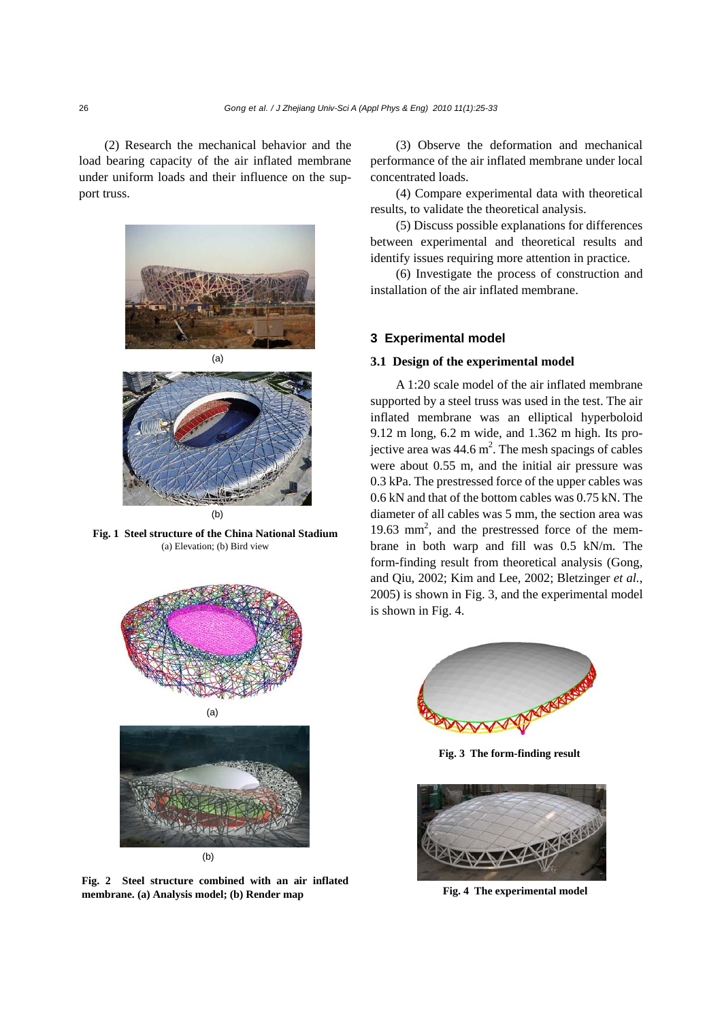(2) Research the mechanical behavior and the load bearing capacity of the air inflated membrane under uniform loads and their influence on the support truss.



**Fig. 1 Steel structure of the China National Stadium**  (a) Elevation; (b) Bird view





**Fig. 2 Steel structure combined with an air inflated membrane. (a) Analysis model; (b) Render map** 

(3) Observe the deformation and mechanical performance of the air inflated membrane under local concentrated loads.

(4) Compare experimental data with theoretical results, to validate the theoretical analysis.

(5) Discuss possible explanations for differences between experimental and theoretical results and identify issues requiring more attention in practice.

(6) Investigate the process of construction and installation of the air inflated membrane.

#### **3 Experimental model**

#### **3.1 Design of the experimental model**

A 1:20 scale model of the air inflated membrane supported by a steel truss was used in the test. The air inflated membrane was an elliptical hyperboloid 9.12 m long, 6.2 m wide, and 1.362 m high. Its projective area was  $44.6 \text{ m}^2$ . The mesh spacings of cables were about 0.55 m, and the initial air pressure was 0.3 kPa. The prestressed force of the upper cables was 0.6 kN and that of the bottom cables was 0.75 kN. The diameter of all cables was 5 mm, the section area was 19.63 mm<sup>2</sup>, and the prestressed force of the membrane in both warp and fill was 0.5 kN/m. The form-finding result from theoretical analysis (Gong, and Qiu, 2002; Kim and Lee, 2002; Bletzinger *et al.*, 2005) is shown in Fig. 3, and the experimental model is shown in Fig. 4.



**Fig. 3 The form-finding result** 



**Fig. 4 The experimental model**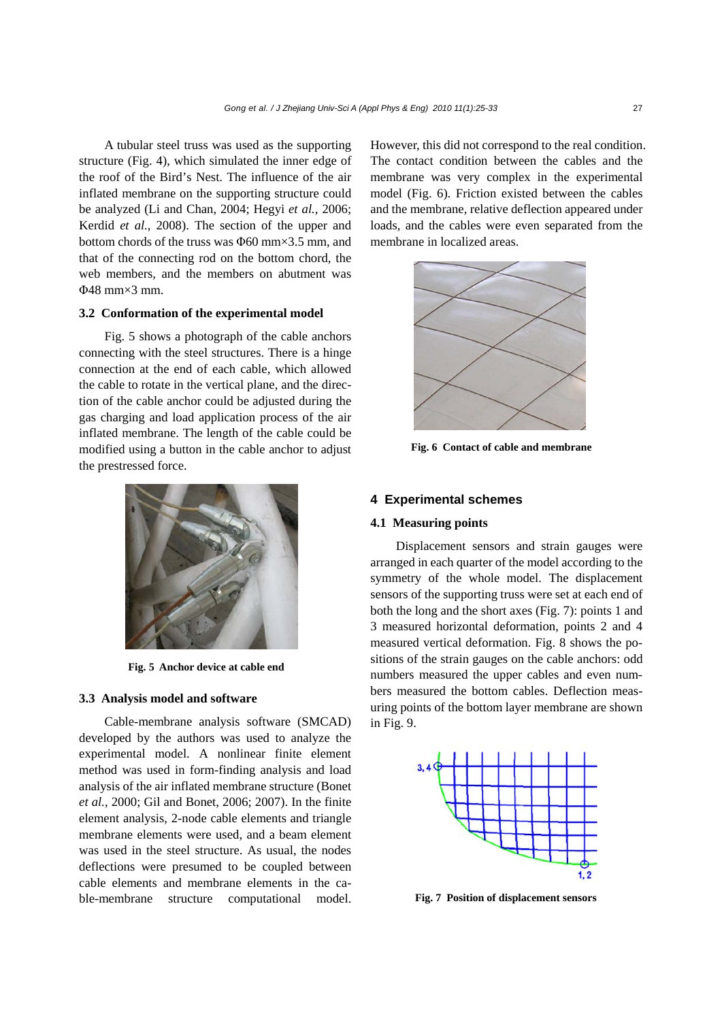A tubular steel truss was used as the supporting structure (Fig. 4), which simulated the inner edge of the roof of the Bird's Nest. The influence of the air inflated membrane on the supporting structure could be analyzed (Li and Chan, 2004; Hegyi *et al.*, 2006; Kerdid *et al.*, 2008). The section of the upper and bottom chords of the truss was  $\Phi$ 60 mm×3.5 mm, and that of the connecting rod on the bottom chord, the web members, and the members on abutment was  $\Phi$ 48 mm $\times$ 3 mm.

#### **3.2 Conformation of the experimental model**

Fig. 5 shows a photograph of the cable anchors connecting with the steel structures. There is a hinge connection at the end of each cable, which allowed the cable to rotate in the vertical plane, and the direction of the cable anchor could be adjusted during the gas charging and load application process of the air inflated membrane. The length of the cable could be modified using a button in the cable anchor to adjust the prestressed force.



**Fig. 5 Anchor device at cable end** 

#### **3.3 Analysis model and software**

Cable-membrane analysis software (SMCAD) developed by the authors was used to analyze the experimental model. A nonlinear finite element method was used in form-finding analysis and load analysis of the air inflated membrane structure (Bonet *et al.*, 2000; Gil and Bonet, 2006; 2007). In the finite element analysis, 2-node cable elements and triangle membrane elements were used, and a beam element was used in the steel structure. As usual, the nodes deflections were presumed to be coupled between cable elements and membrane elements in the cable-membrane structure computational model. However, this did not correspond to the real condition. The contact condition between the cables and the membrane was very complex in the experimental model (Fig. 6). Friction existed between the cables and the membrane, relative deflection appeared under loads, and the cables were even separated from the membrane in localized areas.



**Fig. 6 Contact of cable and membrane** 

#### **4 Experimental schemes**

#### **4.1 Measuring points**

Displacement sensors and strain gauges were arranged in each quarter of the model according to the symmetry of the whole model. The displacement sensors of the supporting truss were set at each end of both the long and the short axes (Fig. 7): points 1 and 3 measured horizontal deformation, points 2 and 4 measured vertical deformation. Fig. 8 shows the positions of the strain gauges on the cable anchors: odd numbers measured the upper cables and even numbers measured the bottom cables. Deflection measuring points of the bottom layer membrane are shown in Fig. 9.



**Fig. 7 Position of displacement sensors**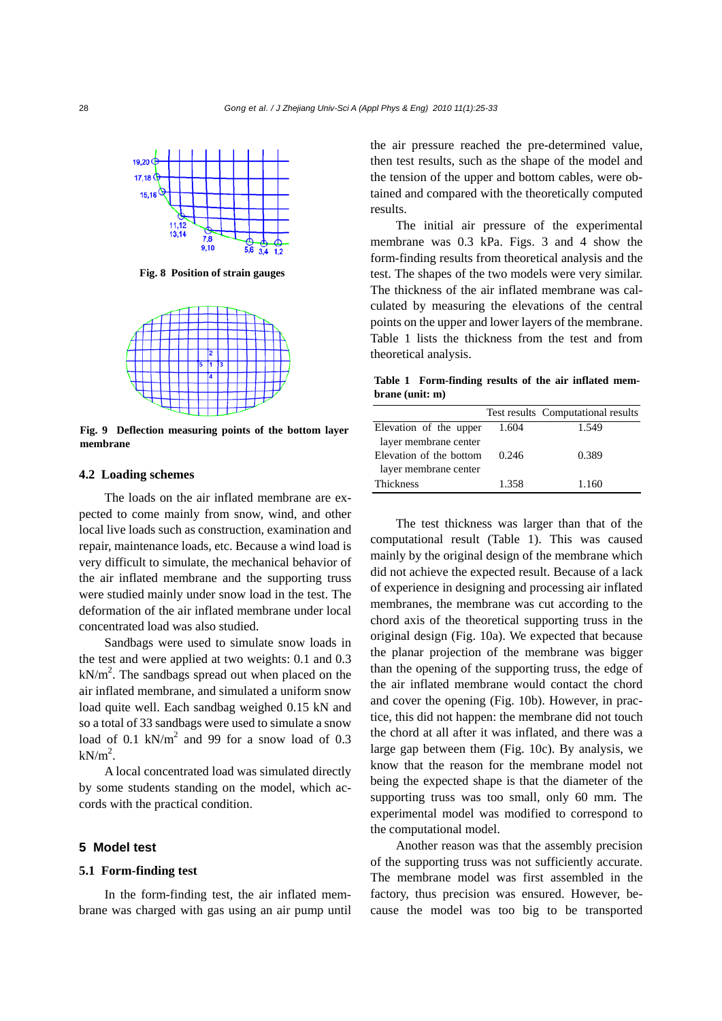

**Fig. 8 Position of strain gauges** 



**Fig. 9 Deflection measuring points of the bottom layer membrane** 

#### **4.2 Loading schemes**

The loads on the air inflated membrane are expected to come mainly from snow, wind, and other local live loads such as construction, examination and repair, maintenance loads, etc. Because a wind load is very difficult to simulate, the mechanical behavior of the air inflated membrane and the supporting truss were studied mainly under snow load in the test. The deformation of the air inflated membrane under local concentrated load was also studied.

Sandbags were used to simulate snow loads in the test and were applied at two weights: 0.1 and 0.3  $kN/m<sup>2</sup>$ . The sandbags spread out when placed on the air inflated membrane, and simulated a uniform snow load quite well. Each sandbag weighed 0.15 kN and so a total of 33 sandbags were used to simulate a snow load of 0.1  $kN/m^2$  and 99 for a snow load of 0.3  $kN/m<sup>2</sup>$ .

A local concentrated load was simulated directly by some students standing on the model, which accords with the practical condition.

#### **5 Model test**

#### **5.1 Form-finding test**

In the form-finding test, the air inflated membrane was charged with gas using an air pump until the air pressure reached the pre-determined value, then test results, such as the shape of the model and the tension of the upper and bottom cables, were obtained and compared with the theoretically computed results.

The initial air pressure of the experimental membrane was 0.3 kPa. Figs. 3 and 4 show the form-finding results from theoretical analysis and the test. The shapes of the two models were very similar. The thickness of the air inflated membrane was calculated by measuring the elevations of the central points on the upper and lower layers of the membrane. Table 1 lists the thickness from the test and from theoretical analysis.

**Table 1 Form-finding results of the air inflated membrane (unit: m)** 

|                         |       | Test results Computational results |
|-------------------------|-------|------------------------------------|
| Elevation of the upper  | 1.604 | 1.549                              |
| layer membrane center   |       |                                    |
| Elevation of the bottom | 0.246 | 0.389                              |
| layer membrane center   |       |                                    |
| <b>Thickness</b>        | 1.358 | 1.160                              |

The test thickness was larger than that of the computational result (Table 1). This was caused mainly by the original design of the membrane which did not achieve the expected result. Because of a lack of experience in designing and processing air inflated membranes, the membrane was cut according to the chord axis of the theoretical supporting truss in the original design (Fig. 10a). We expected that because the planar projection of the membrane was bigger than the opening of the supporting truss, the edge of the air inflated membrane would contact the chord and cover the opening (Fig. 10b). However, in practice, this did not happen: the membrane did not touch the chord at all after it was inflated, and there was a large gap between them (Fig. 10c). By analysis, we know that the reason for the membrane model not being the expected shape is that the diameter of the supporting truss was too small, only 60 mm. The experimental model was modified to correspond to the computational model.

Another reason was that the assembly precision of the supporting truss was not sufficiently accurate. The membrane model was first assembled in the factory, thus precision was ensured. However, because the model was too big to be transported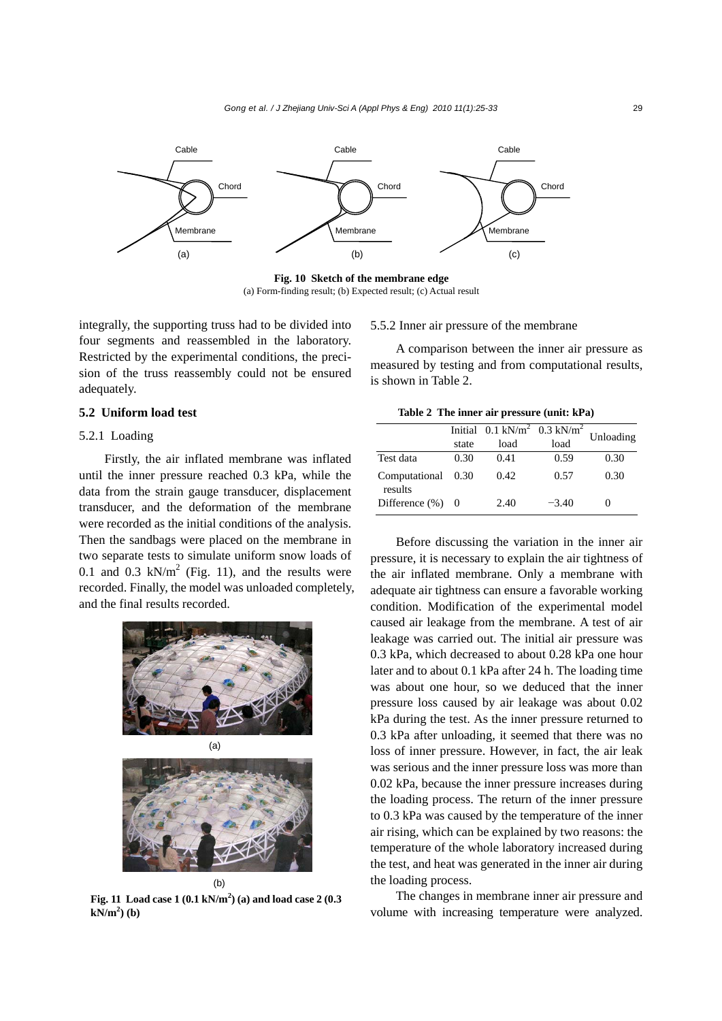

**Fig. 10 Sketch of the membrane edge**  (a) Form-finding result; (b) Expected result; (c) Actual result

integrally, the supporting truss had to be divided into four segments and reassembled in the laboratory. Restricted by the experimental conditions, the precision of the truss reassembly could not be ensured adequately.

# 5.5.2 Inner air pressure of the membrane

A comparison between the inner air pressure as measured by testing and from computational results, is shown in Table 2.

#### **5.2 Uniform load test**

## 5.2.1 Loading

Firstly, the air inflated membrane was inflated until the inner pressure reached 0.3 kPa, while the data from the strain gauge transducer, displacement transducer, and the deformation of the membrane were recorded as the initial conditions of the analysis. Then the sandbags were placed on the membrane in two separate tests to simulate uniform snow loads of 0.1 and 0.3  $kN/m^2$  (Fig. 11), and the results were recorded. Finally, the model was unloaded completely, and the final results recorded.



(a)



**Fig. 11 Load case 1 (0.1 kN/m2 ) (a) and load case 2 (0.3**  $kN/m<sup>2</sup>$  (b)

**Table 2 The inner air pressure (unit: kPa)**

|                               |       | rable $\mu$ and much an pressure (unit, is a)      |         |           |
|-------------------------------|-------|----------------------------------------------------|---------|-----------|
|                               |       | Initial $0.1 \text{ kN/m}^2$ 0.3 kN/m <sup>2</sup> |         | Unloading |
|                               | state | load                                               | load    |           |
| Test data                     | 0.30  | 0.41                                               | 0.59    | 0.30      |
| Computational 0.30<br>results |       | 0.42                                               | 0.57    | 0.30      |
| Difference $(\% )$ 0          |       | 2.40                                               | $-3.40$ |           |

Before discussing the variation in the inner air pressure, it is necessary to explain the air tightness of the air inflated membrane. Only a membrane with adequate air tightness can ensure a favorable working condition. Modification of the experimental model caused air leakage from the membrane. A test of air leakage was carried out. The initial air pressure was 0.3 kPa, which decreased to about 0.28 kPa one hour later and to about 0.1 kPa after 24 h. The loading time was about one hour, so we deduced that the inner pressure loss caused by air leakage was about 0.02 kPa during the test. As the inner pressure returned to 0.3 kPa after unloading, it seemed that there was no loss of inner pressure. However, in fact, the air leak was serious and the inner pressure loss was more than 0.02 kPa, because the inner pressure increases during the loading process. The return of the inner pressure to 0.3 kPa was caused by the temperature of the inner air rising, which can be explained by two reasons: the temperature of the whole laboratory increased during the test, and heat was generated in the inner air during the loading process.

The changes in membrane inner air pressure and volume with increasing temperature were analyzed.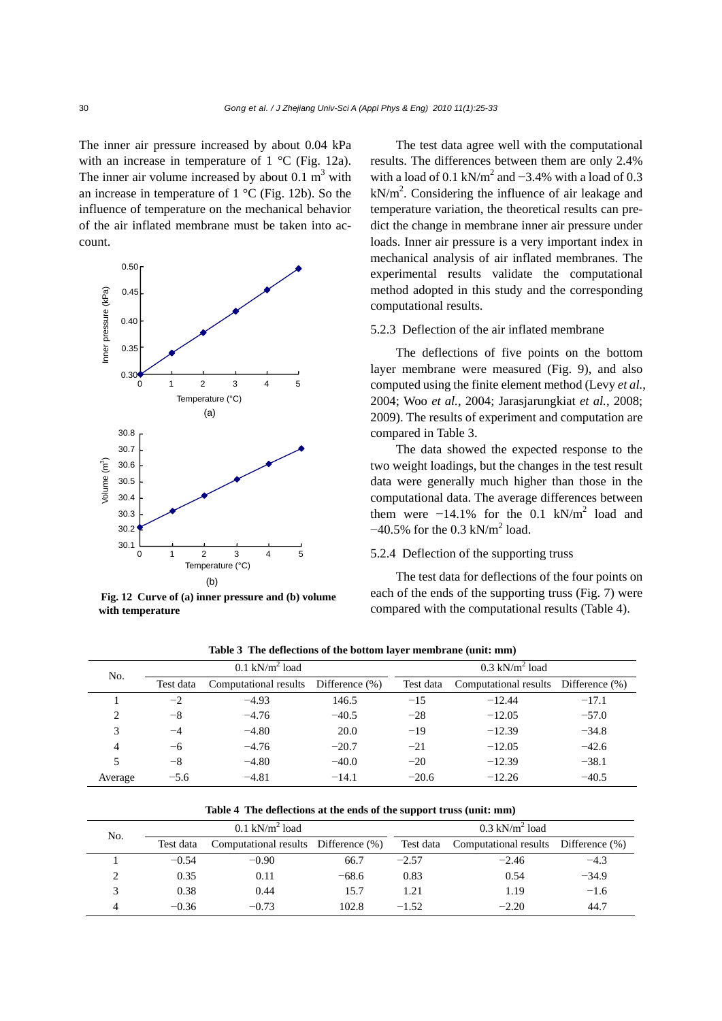The inner air pressure increased by about 0.04 kPa with an increase in temperature of  $1 \text{ }^{\circ}C$  (Fig. 12a). The inner air volume increased by about  $0.1 \text{ m}^3$  with an increase in temperature of  $1 \degree C$  (Fig. 12b). So the influence of temperature on the mechanical behavior of the air inflated membrane must be taken into account.



**Fig. 12 Curve of (a) inner pressure and (b) volume with temperature** 

The test data agree well with the computational results. The differences between them are only 2.4% with a load of 0.1 kN/m<sup>2</sup> and  $-3.4\%$  with a load of 0.3  $kN/m<sup>2</sup>$ . Considering the influence of air leakage and temperature variation, the theoretical results can predict the change in membrane inner air pressure under loads. Inner air pressure is a very important index in mechanical analysis of air inflated membranes. The experimental results validate the computational method adopted in this study and the corresponding computational results.

#### 5.2.3 Deflection of the air inflated membrane

The deflections of five points on the bottom layer membrane were measured (Fig. 9), and also computed using the finite element method (Levy *et al.*, 2004; Woo *et al.*, 2004; Jarasjarungkiat *et al.*, 2008; 2009). The results of experiment and computation are compared in Table 3.

The data showed the expected response to the two weight loadings, but the changes in the test result data were generally much higher than those in the computational data. The average differences between them were  $-14.1\%$  for the 0.1 kN/m<sup>2</sup> load and  $-40.5\%$  for the 0.3 kN/m<sup>2</sup> load.

# 5.2.4 Deflection of the supporting truss

The test data for deflections of the four points on each of the ends of the supporting truss (Fig. 7) were compared with the computational results (Table 4).

| No.     |           | $0.1$ kN/m <sup>2</sup> load         |         |           | $0.3$ kN/m <sup>2</sup> load         |         |  |  |
|---------|-----------|--------------------------------------|---------|-----------|--------------------------------------|---------|--|--|
|         | Test data | Computational results Difference (%) |         | Test data | Computational results Difference (%) |         |  |  |
|         | $-2$      | $-4.93$                              | 146.5   | $-15$     | $-12.44$                             | $-17.1$ |  |  |
| 2       | $-8$      | $-4.76$                              | $-40.5$ | $-28$     | $-12.05$                             | $-57.0$ |  |  |
| 3       | $-4$      | $-4.80$                              | 20.0    | $-19$     | $-12.39$                             | $-34.8$ |  |  |
| 4       | -6        | $-4.76$                              | $-20.7$ | $-21$     | $-12.05$                             | $-42.6$ |  |  |
| 5       | $-8$      | $-4.80$                              | $-40.0$ | $-20$     | $-12.39$                             | $-38.1$ |  |  |
| Average | $-5.6$    | $-4.81$                              | $-14.1$ | $-20.6$   | $-12.26$                             | $-40.5$ |  |  |

**Table 3 The deflections of the bottom layer membrane (unit: mm)** 

|  |  | Table 4 The deflections at the ends of the support truss (unit: mm) |  |  |  |  |  |  |  |  |  |  |
|--|--|---------------------------------------------------------------------|--|--|--|--|--|--|--|--|--|--|
|--|--|---------------------------------------------------------------------|--|--|--|--|--|--|--|--|--|--|

| No. |           | $0.1$ kN/m <sup>2</sup> load         |         | $0.3$ kN/m <sup>2</sup> load |                                                |         |  |
|-----|-----------|--------------------------------------|---------|------------------------------|------------------------------------------------|---------|--|
|     | Test data | Computational results Difference (%) |         |                              | Test data Computational results Difference (%) |         |  |
|     | $-0.54$   | $-0.90$                              | 66.7    | $-2.57$                      | $-2.46$                                        | $-4.3$  |  |
|     | 0.35      | 0.11                                 | $-68.6$ | 0.83                         | 0.54                                           | $-34.9$ |  |
|     | 0.38      | 0.44                                 | 15.7    | 1.21                         | 1.19                                           | $-1.6$  |  |
|     | $-0.36$   | $-0.73$                              | 102.8   | $-1.52$                      | $-2.20$                                        | 44.7    |  |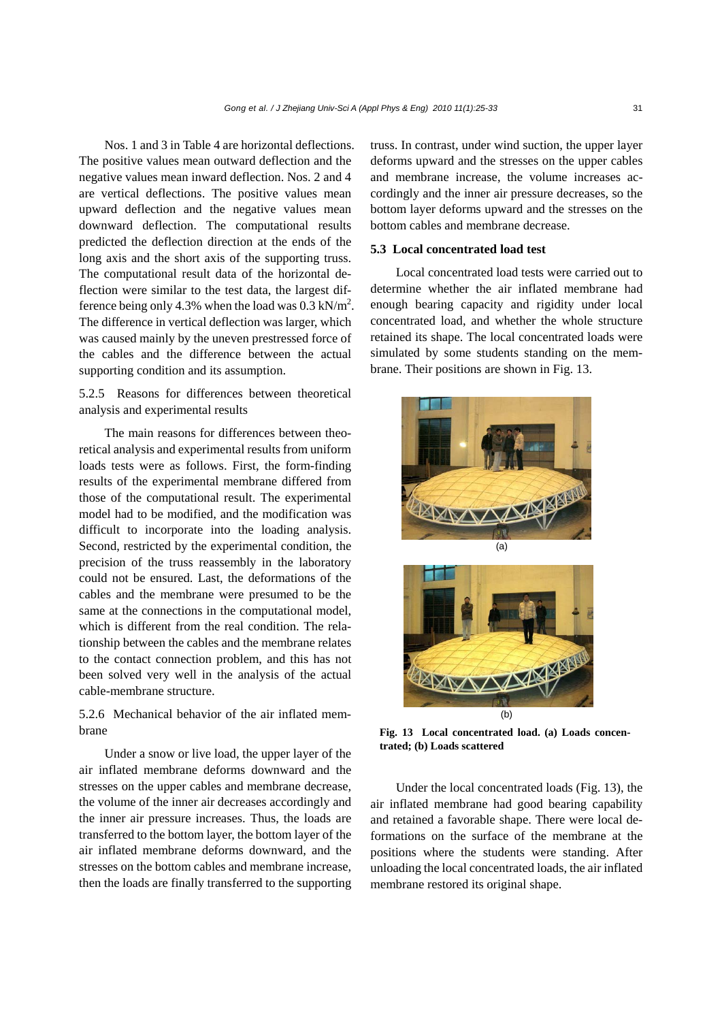Nos. 1 and 3 in Table 4 are horizontal deflections. The positive values mean outward deflection and the negative values mean inward deflection. Nos. 2 and 4 are vertical deflections. The positive values mean upward deflection and the negative values mean downward deflection. The computational results predicted the deflection direction at the ends of the long axis and the short axis of the supporting truss. The computational result data of the horizontal deflection were similar to the test data, the largest difference being only 4.3% when the load was  $0.3 \text{ kN/m}^2$ . The difference in vertical deflection was larger, which was caused mainly by the uneven prestressed force of the cables and the difference between the actual supporting condition and its assumption.

5.2.5 Reasons for differences between theoretical analysis and experimental results

The main reasons for differences between theoretical analysis and experimental results from uniform loads tests were as follows. First, the form-finding results of the experimental membrane differed from those of the computational result. The experimental model had to be modified, and the modification was difficult to incorporate into the loading analysis. Second, restricted by the experimental condition, the precision of the truss reassembly in the laboratory could not be ensured. Last, the deformations of the cables and the membrane were presumed to be the same at the connections in the computational model, which is different from the real condition. The relationship between the cables and the membrane relates to the contact connection problem, and this has not been solved very well in the analysis of the actual cable-membrane structure.

5.2.6 Mechanical behavior of the air inflated membrane

Under a snow or live load, the upper layer of the air inflated membrane deforms downward and the stresses on the upper cables and membrane decrease, the volume of the inner air decreases accordingly and the inner air pressure increases. Thus, the loads are transferred to the bottom layer, the bottom layer of the air inflated membrane deforms downward, and the stresses on the bottom cables and membrane increase, then the loads are finally transferred to the supporting truss. In contrast, under wind suction, the upper layer deforms upward and the stresses on the upper cables and membrane increase, the volume increases accordingly and the inner air pressure decreases, so the bottom layer deforms upward and the stresses on the bottom cables and membrane decrease.

#### **5.3 Local concentrated load test**

Local concentrated load tests were carried out to determine whether the air inflated membrane had enough bearing capacity and rigidity under local concentrated load, and whether the whole structure retained its shape. The local concentrated loads were simulated by some students standing on the membrane. Their positions are shown in Fig. 13.



**Fig. 13 Local concentrated load. (a) Loads concentrated; (b) Loads scattered** 

Under the local concentrated loads (Fig. 13), the air inflated membrane had good bearing capability and retained a favorable shape. There were local deformations on the surface of the membrane at the positions where the students were standing. After unloading the local concentrated loads, the air inflated membrane restored its original shape.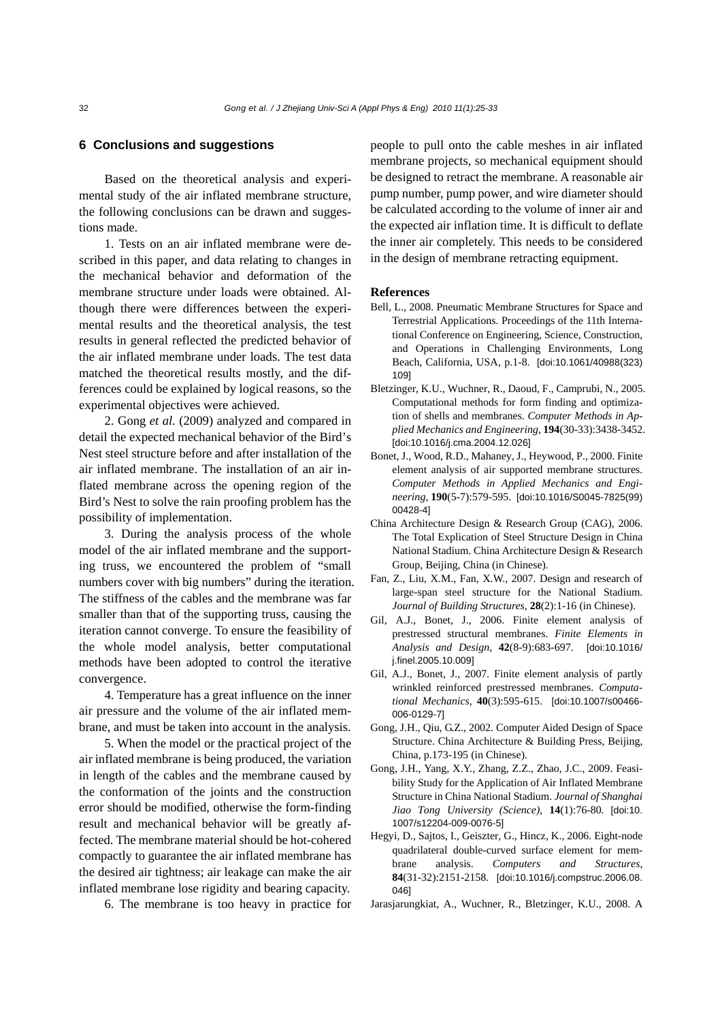#### **6 Conclusions and suggestions**

Based on the theoretical analysis and experimental study of the air inflated membrane structure, the following conclusions can be drawn and suggestions made.

1. Tests on an air inflated membrane were described in this paper, and data relating to changes in the mechanical behavior and deformation of the membrane structure under loads were obtained. Although there were differences between the experimental results and the theoretical analysis, the test results in general reflected the predicted behavior of the air inflated membrane under loads. The test data matched the theoretical results mostly, and the differences could be explained by logical reasons, so the experimental objectives were achieved.

2. Gong *et al.* (2009) analyzed and compared in detail the expected mechanical behavior of the Bird's Nest steel structure before and after installation of the air inflated membrane. The installation of an air inflated membrane across the opening region of the Bird's Nest to solve the rain proofing problem has the possibility of implementation.

3. During the analysis process of the whole model of the air inflated membrane and the supporting truss, we encountered the problem of "small numbers cover with big numbers" during the iteration. The stiffness of the cables and the membrane was far smaller than that of the supporting truss, causing the iteration cannot converge. To ensure the feasibility of the whole model analysis, better computational methods have been adopted to control the iterative convergence.

4. Temperature has a great influence on the inner air pressure and the volume of the air inflated membrane, and must be taken into account in the analysis.

5. When the model or the practical project of the air inflated membrane is being produced, the variation in length of the cables and the membrane caused by the conformation of the joints and the construction error should be modified, otherwise the form-finding result and mechanical behavior will be greatly affected. The membrane material should be hot-cohered compactly to guarantee the air inflated membrane has the desired air tightness; air leakage can make the air inflated membrane lose rigidity and bearing capacity.

6. The membrane is too heavy in practice for

people to pull onto the cable meshes in air inflated membrane projects, so mechanical equipment should be designed to retract the membrane. A reasonable air pump number, pump power, and wire diameter should be calculated according to the volume of inner air and the expected air inflation time. It is difficult to deflate the inner air completely. This needs to be considered in the design of membrane retracting equipment.

#### **References**

- Bell, L., 2008. Pneumatic Membrane Structures for Space and Terrestrial Applications. Proceedings of the 11th International Conference on Engineering, Science, Construction, and Operations in Challenging Environments, Long Beach, California, USA, p.1-8. [doi:10.1061/40988(323) 109]
- Bletzinger, K.U., Wuchner, R., Daoud, F., Camprubi, N., 2005. Computational methods for form finding and optimization of shells and membranes. *Computer Methods in Applied Mechanics and Engineering*, **194**(30-33):3438-3452. [doi:10.1016/j.cma.2004.12.026]
- Bonet, J., Wood, R.D., Mahaney, J., Heywood, P., 2000. Finite element analysis of air supported membrane structures. *Computer Methods in Applied Mechanics and Engineering*, **190**(5-7):579-595. [doi:10.1016/S0045-7825(99) 00428-4]
- China Architecture Design & Research Group (CAG), 2006. The Total Explication of Steel Structure Design in China National Stadium. China Architecture Design & Research Group, Beijing, China (in Chinese).
- Fan, Z., Liu, X.M., Fan, X.W., 2007. Design and research of large-span steel structure for the National Stadium. *Journal of Building Structures*, **28**(2):1-16 (in Chinese).
- Gil, A.J., Bonet, J., 2006. Finite element analysis of prestressed structural membranes. *Finite Elements in Analysis and Design*, **42**(8-9):683-697. [doi:10.1016/ j.finel.2005.10.009]
- Gil, A.J., Bonet, J., 2007. Finite element analysis of partly wrinkled reinforced prestressed membranes. *Computational Mechanics*, **40**(3):595-615. [doi:10.1007/s00466- 006-0129-7]
- Gong, J.H., Qiu, G.Z., 2002. Computer Aided Design of Space Structure. China Architecture & Building Press, Beijing, China, p.173-195 (in Chinese).
- Gong, J.H., Yang, X.Y., Zhang, Z.Z., Zhao, J.C., 2009. Feasibility Study for the Application of Air Inflated Membrane Structure in China National Stadium. *Journal of Shanghai Jiao Tong University (Science)*, **14**(1):76-80*.* [doi:10. 1007/s12204-009-0076-5]
- Hegyi, D., Sajtos, I., Geiszter, G., Hincz, K., 2006. Eight-node quadrilateral double-curved surface element for membrane analysis. *Computers and Structures*, **84**(31-32):2151-2158. [doi:10.1016/j.compstruc.2006.08. 046]
- Jarasjarungkiat, A., Wuchner, R., Bletzinger, K.U., 2008. A